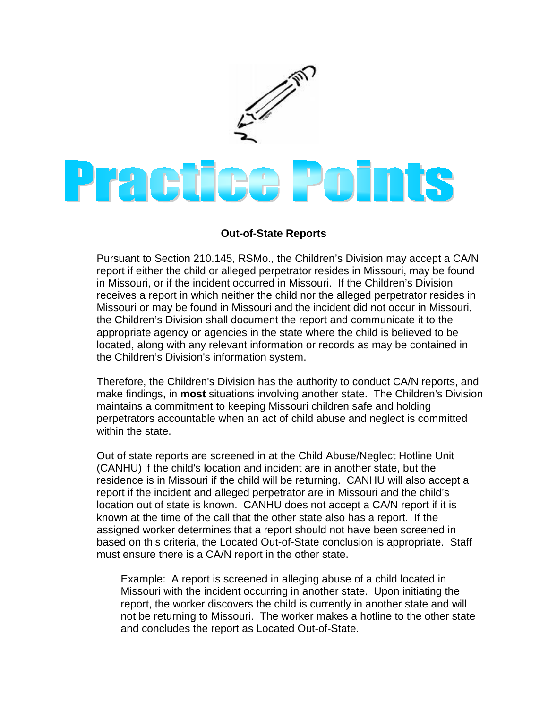

## **Out-of-State Reports**

Pursuant to Section 210.145, RSMo., the Children's Division may accept a CA/N report if either the child or alleged perpetrator resides in Missouri, may be found in Missouri, or if the incident occurred in Missouri. If the Children's Division receives a report in which neither the child nor the alleged perpetrator resides in Missouri or may be found in Missouri and the incident did not occur in Missouri, the Children's Division shall document the report and communicate it to the appropriate agency or agencies in the state where the child is believed to be located, along with any relevant information or records as may be contained in the Children's Division's information system.

Therefore, the Children's Division has the authority to conduct CA/N reports, and make findings, in **most** situations involving another state. The Children's Division maintains a commitment to keeping Missouri children safe and holding perpetrators accountable when an act of child abuse and neglect is committed within the state.

Out of state reports are screened in at the Child Abuse/Neglect Hotline Unit (CANHU) if the child's location and incident are in another state, but the residence is in Missouri if the child will be returning. CANHU will also accept a report if the incident and alleged perpetrator are in Missouri and the child's location out of state is known. CANHU does not accept a CA/N report if it is known at the time of the call that the other state also has a report. If the assigned worker determines that a report should not have been screened in based on this criteria, the Located Out-of-State conclusion is appropriate. Staff must ensure there is a CA/N report in the other state.

Example: A report is screened in alleging abuse of a child located in Missouri with the incident occurring in another state. Upon initiating the report, the worker discovers the child is currently in another state and will not be returning to Missouri. The worker makes a hotline to the other state and concludes the report as Located Out-of-State.